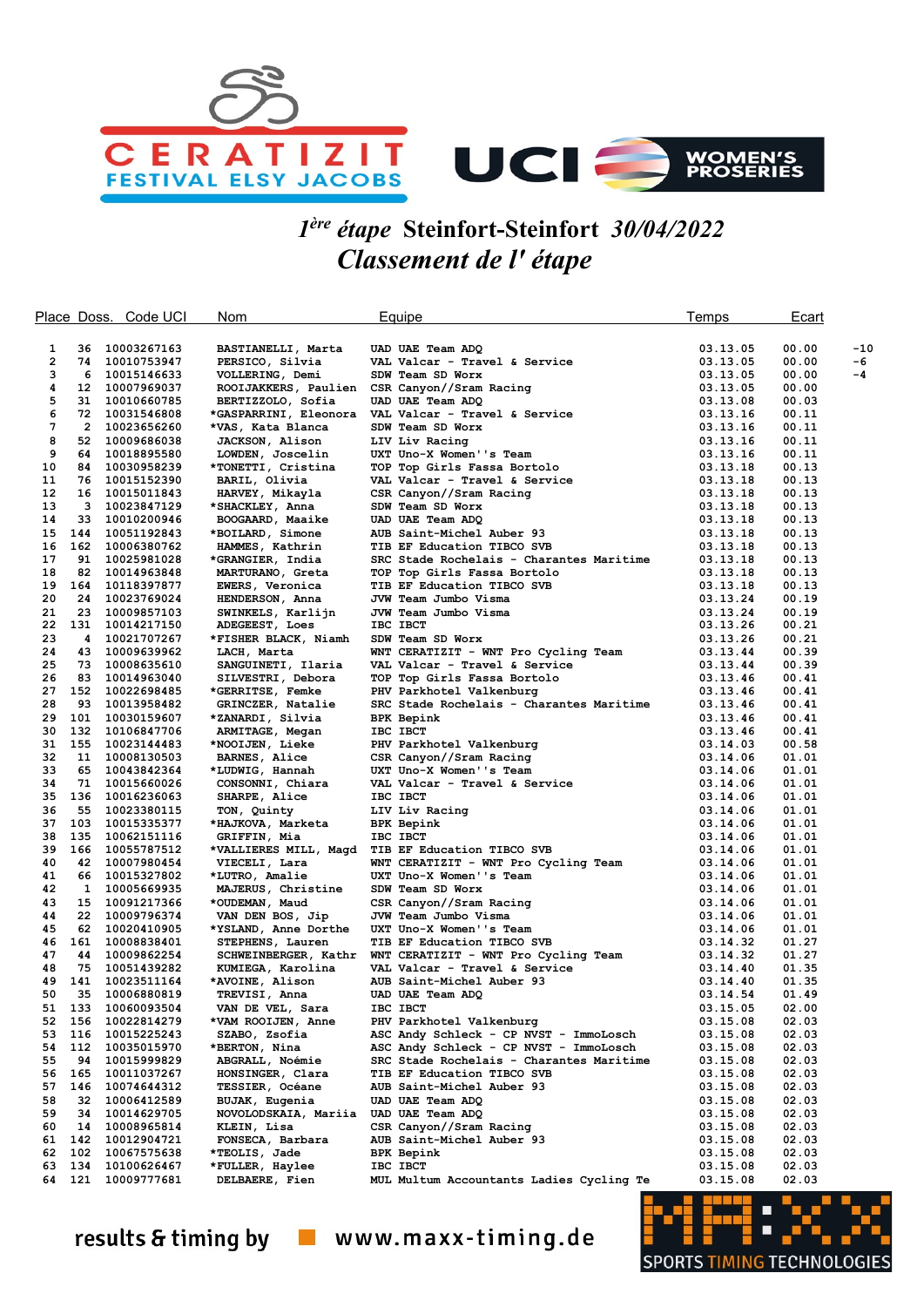

## 1 ère étape Steinfort-Steinfort 30/04/2022 Classement de l' étape

|              |                | Place Doss. Code UCI       | Nom                                      | Equipe                                             | Temps                | Ecart          |       |
|--------------|----------------|----------------------------|------------------------------------------|----------------------------------------------------|----------------------|----------------|-------|
|              |                |                            |                                          |                                                    |                      |                |       |
| 1            | 36             | 10003267163                | BASTIANELLI, Marta                       | UAD UAE Team ADQ                                   | 03.13.05             | 00.00          | $-10$ |
| $\mathbf{2}$ | 74             | 10010753947                | PERSICO, Silvia                          | VAL Valcar - Travel & Service                      | 03.13.05             | 00.00          | -6    |
| з            | 6              | 10015146633                | VOLLERING, Demi                          | SDW Team SD Worx                                   | 03.13.05             | 00.00          | -4    |
| 4            |                | 12 10007969037             | ROOIJAKKERS, Paulien                     | CSR Canyon//Sram Racing                            | 03.13.05             | 00.00          |       |
| 5            | 31             | 10010660785                | BERTIZZOLO, Sofia                        | UAD UAE Team ADQ                                   | 03.13.08             | 00.03          |       |
| 6            |                | 72 10031546808             | *GASPARRINI, Eleonora                    | VAL Valcar - Travel & Service                      | 03.13.16             | 00.11          |       |
| 7            | $\overline{2}$ | 10023656260                | *VAS, Kata Blanca                        | SDW Team SD Worx                                   | 03.13.16             | 00.11          |       |
| 8            | 52             | 10009686038                | <b>JACKSON, Alison</b>                   | LIV Liv Racing                                     | 03.13.16             | 00.11          |       |
| 9            | 64.            | 10018895580                | LOWDEN, Joscelin                         | UXT Uno-X Women''s Team                            | 03.13.16             | 00.11          |       |
| 10           |                | 84 10030958239             | *TONETTI, Cristina                       | TOP Top Girls Fassa Bortolo                        | 03.13.18             | 00.13          |       |
| 11           |                | 76 10015152390             | BARIL, Olivia                            | VAL Valcar - Travel & Service                      | 03.13.18             | 00.13          |       |
| 12           | 16             | 10015011843                | HARVEY, Mikayla                          | CSR Canyon//Sram Racing                            | 03.13.18             | 00.13          |       |
| 13           | 3              | 10023847129                | *SHACKLEY, Anna                          | SDW Team SD Worx                                   | 03.13.18             | 00.13          |       |
| 14           | 33             | 10010200946                | BOOGAARD, Maaike                         | UAD UAE Team ADQ                                   | 03.13.18             | 00.13          |       |
| 15           | 144            | 10051192843                | *BOILARD, Simone                         | AUB Saint-Michel Auber 93                          | 03.13.18             | 00.13          |       |
| 16           |                | 162 10006380762            | HAMMES, Kathrin                          | TIB EF Education TIBCO SVB                         | 03.13.18             | 00.13          |       |
| 17           | 91<br>82       | 10025981028                | *GRANGIER, India                         | SRC Stade Rochelais - Charantes Maritime           | 03.13.18             | 00.13          |       |
| 18<br>19     | 164            | 10014963848                | MARTURANO, Greta                         | TOP Top Girls Fassa Bortolo                        | 03.13.18             | 00.13          |       |
| 20           | 24             | 10118397877<br>10023769024 | EWERS, Veronica                          | TIB EF Education TIBCO SVB<br>JVW Team Jumbo Visma | 03.13.18<br>03.13.24 | 00.13<br>00.19 |       |
| 21           | 23             | 10009857103                | HENDERSON, Anna<br>SWINKELS, Karlijn     | JVW Team Jumbo Visma                               | 03.13.24             | 00.19          |       |
| 22           |                | 131 10014217150            | ADEGEEST, Loes                           | IBC IBCT                                           | 03.13.26             | 00.21          |       |
| 23           | 4              | 10021707267                | *FISHER BLACK, Niamh                     | SDW Team SD Worx                                   | 03.13.26             | 00.21          |       |
| 24           | 43             | 10009639962                | LACH, Marta                              | WNT CERATIZIT - WNT Pro Cycling Team               | 03.13.44             | 00.39          |       |
| 25           | 73             | 10008635610                | SANGUINETI, Ilaria                       | VAL Valcar - Travel & Service                      | 03.13.44             | 00.39          |       |
| 26           | 83             | 10014963040                | SILVESTRI, Debora                        | TOP Top Girls Fassa Bortolo                        | 03.13.46             | 00.41          |       |
| 27           | 152            | 10022698485                | *GERRITSE, Femke                         | PHV Parkhotel Valkenburg                           | 03.13.46             | 00.41          |       |
| 28           | 93             | 10013958482                | GRINCZER, Natalie                        | SRC Stade Rochelais - Charantes Maritime           | 03.13.46             | 00.41          |       |
| 29           | 101            | 10030159607                | *ZANARDI, Silvia                         | <b>BPK Bepink</b>                                  | 03.13.46             | 00.41          |       |
| 30           | 132            | 10106847706                | ARMITAGE, Megan                          | IBC IBCT                                           | 03.13.46             | 00.41          |       |
| 31           | 155            | 10023144483                | *NOOIJEN, Lieke                          | PHV Parkhotel Valkenburg                           | 03.14.03             | 00.58          |       |
| 32           | 11             | 10008130503                | BARNES, Alice                            | CSR Canyon//Sram Racing                            | 03.14.06             | 01.01          |       |
| 33           | 65             | 10043842364                | *LUDWIG, Hannah                          | UXT Uno-X Women''s Team                            | 03.14.06             | 01.01          |       |
| 34           | 71             | 10015660026                | CONSONNI, Chiara                         | VAL Valcar - Travel & Service                      | 03.14.06             | 01.01          |       |
| 35           | 136            | 10016236063                | SHARPE, Alice                            | IBC IBCT                                           | 03.14.06             | 01.01          |       |
| 36           | 55             | 10023380115                | TON, Quinty                              | LIV Liv Racing                                     | 03.14.06             | 01.01          |       |
| 37           | 103            | 10015335377                | *HAJKOVA, Marketa                        | <b>BPK Bepink</b>                                  | 03.14.06             | 01.01          |       |
| 38           | 135            | 10062151116                | GRIFFIN, Mia                             | IBC IBCT                                           | 03.14.06             | 01.01          |       |
| 39           | 166            | 10055787512                | *VALLIERES MILL, Magd                    | TIB EF Education TIBCO SVB                         | 03.14.06             | 01.01          |       |
| 40           |                | 42 10007980454             | VIECELI, Lara                            | WNT CERATIZIT - WNT Pro Cycling Team               | 03.14.06             | 01.01          |       |
| 41           | 66             | 10015327802                | *LUTRO, Amalie                           | UXT Uno-X Women''s Team                            | 03.14.06             | 01.01          |       |
| 42           | $\mathbf{1}$   | 10005669935                | MAJERUS, Christine                       | SDW Team SD Worx                                   | 03.14.06             | 01.01          |       |
| 43           | 15             | 10091217366                | *OUDEMAN, Maud                           | CSR Canyon//Sram Racing                            | 03.14.06             | 01.01          |       |
| 44<br>45     | 22<br>62       | 10009796374                | VAN DEN BOS, Jip                         | JVW Team Jumbo Visma<br>UXT Uno-X Women''s Team    | 03.14.06             | 01.01          |       |
| 46           | 161            | 10020410905<br>10008838401 | *YSLAND, Anne Dorthe<br>STEPHENS, Lauren | TIB EF Education TIBCO SVB                         | 03.14.06<br>03.14.32 | 01.01<br>01.27 |       |
| 47           |                | 44 10009862254             | SCHWEINBERGER, Kathr                     | WNT CERATIZIT - WNT Pro Cycling Team               | 03.14.32             | 01.27          |       |
| 48           | 75             | 10051439282                | KUMIEGA, Karolina                        | VAL Valcar - Travel & Service                      | 03.14.40             | 01.35          |       |
| 49           | 141            | 10023511164                | *AVOINE, Alison                          | AUB Saint-Michel Auber 93                          | 03.14.40             | 01.35          |       |
| 50           | 35             | 10006880819                | TREVISI, Anna                            | UAD UAE Team ADQ                                   | 03.14.54             | 01.49          |       |
| 51           | 133            | 10060093504                | VAN DE VEL, Sara                         | IBC IBCT                                           | 03.15.05             | 02.00          |       |
|              | 52 156         | 10022814279                | *VAM ROOIJEN, Anne                       | PHV Parkhotel Valkenburg                           | 03.15.08             | 02.03          |       |
|              | 53 116         | 10015225243                | SZABO, Zsofia                            | ASC Andy Schleck - CP NVST - ImmoLosch             | 03.15.08             | 02.03          |       |
|              | 54 112         | 10035015970                | *BERTON, Nina                            | ASC Andy Schleck - CP NVST - ImmoLosch             | 03.15.08             | 02.03          |       |
| 55           | 94             | 10015999829                | ABGRALL, Noémie                          | SRC Stade Rochelais - Charantes Maritime           | 03.15.08             | 02.03          |       |
| 56           | 165            | 10011037267                | HONSINGER, Clara                         | TIB EF Education TIBCO SVB                         | 03.15.08             | 02.03          |       |
| 57           | 146            | 10074644312                | TESSIER, Océane                          | AUB Saint-Michel Auber 93                          | 03.15.08             | 02.03          |       |
| 58           | 32             | 10006412589                | BUJAK, Eugenia                           | UAD UAE Team ADQ                                   | 03.15.08             | 02.03          |       |
| 59           |                | 34 10014629705             | NOVOLODSKAIA, Mariia                     | UAD UAE Team ADQ                                   | 03.15.08             | 02.03          |       |
| 60           | 14             | 10008965814                | KLEIN, Lisa                              | CSR Canyon//Sram Racing                            | 03.15.08             | 02.03          |       |
| 61           |                | 142 10012904721            | FONSECA, Barbara                         | AUB Saint-Michel Auber 93                          | 03.15.08             | 02.03          |       |
| 62           | 102            | 10067575638                | *TEOLIS, Jade                            | <b>BPK Bepink</b>                                  | 03.15.08             | 02.03          |       |
| 63           | 134            | 10100626467                | *FULLER, Haylee                          | IBC IBCT                                           | 03.15.08             | 02.03          |       |
| 64           | 121            | 10009777681                | DELBAERE, Fien                           | MUL Multum Accountants Ladies Cycling Te           | 03.15.08             | 02.03          |       |



results & timing by vww.maxx-timing.de

G